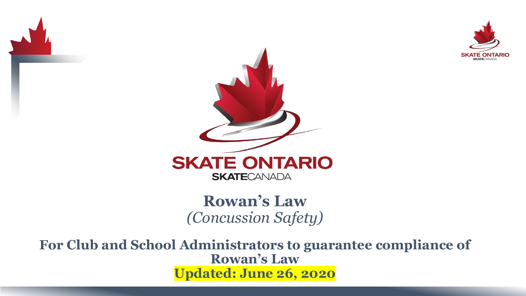



**Rowan's Law**  *(Concussion Safety)*

**For Club and School Administrators to guarantee compliance of Rowan's Law Updated: June 26, 2020**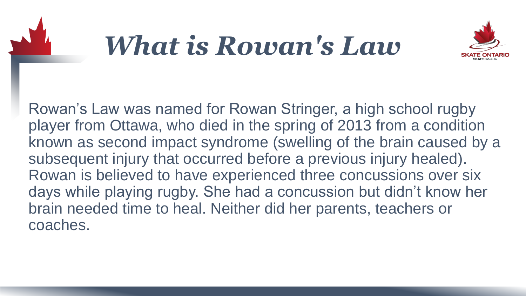

### *What is Rowan's Law*



Rowan's Law was named for Rowan Stringer, a high school rugby player from Ottawa, who died in the spring of 2013 from a condition known as second impact syndrome (swelling of the brain caused by a subsequent injury that occurred before a previous injury healed). Rowan is believed to have experienced three concussions over six days while playing rugby. She had a concussion but didn't know her brain needed time to heal. Neither did her parents, teachers or coaches.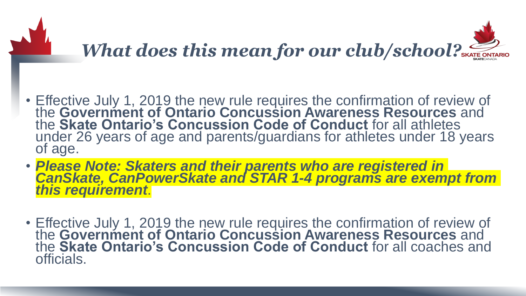

### *What does this mean for our club/school?*

- Effective July 1, 2019 the new rule requires the confirmation of review of the **Government of Ontario Concussion Awareness Resources** and the **Skate Ontario's Concussion Code of Conduct** for all athletes under 26 years of age and parents/guardians for athletes under 18 years of age.
- *Please Note: Skaters and their parents who are registered in CanSkate, CanPowerSkate and STAR 1-4 programs are exempt from this requirement*.
- Effective July 1, 2019 the new rule requires the confirmation of review of the **Government of Ontario Concussion Awareness Resources** and the **Skate Ontario's Concussion Code of Conduct** for all coaches and officials.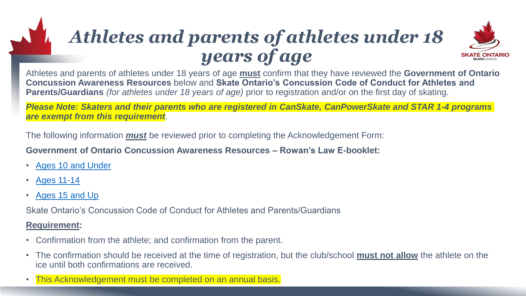### *Athletes and parents of athletes under 18 years of age*



Athletes and parents of athletes under 18 years of age **must** confirm that they have reviewed the **Government of Ontario Concussion Awareness Resources** below and **Skate Ontario's Concussion Code of Conduct for Athletes and Parents/Guardians** *(for athletes under 18 years of age)* prior to registration and/or on the first day of skating.

*Please Note: Skaters and their parents who are registered in CanSkate, CanPowerSkate and STAR 1-4 programs are exempt from this requirement*.

The following information *must* be reviewed prior to completing the Acknowledgement Form:

**Government of Ontario Concussion Awareness Resources – Rowan's Law E-booklet:**

- [Ages 10 and Under](https://www.ontario.ca/page/ontario-government-concussion-awareness-resource-e-booklet-ages-10-and-under)
- [Ages 11-14](https://www.ontario.ca/page/ontario-government-concussion-awareness-resource-e-booklet-ages-11-14)
- [Ages 15 and Up](https://www.ontario.ca/page/ontario-government-concussion-awareness-resource-e-booklet-ages-15-and-up)

Skate Ontario's Concussion Code of Conduct for Athletes and Parents/Guardians

#### **Requirement:**

- Confirmation from the athlete; and confirmation from the parent.
- The confirmation should be received at the time of registration, but the club/school **must not allow** the athlete on the ice until both confirmations are received.
- This Acknowledgement must be completed on an annual basis.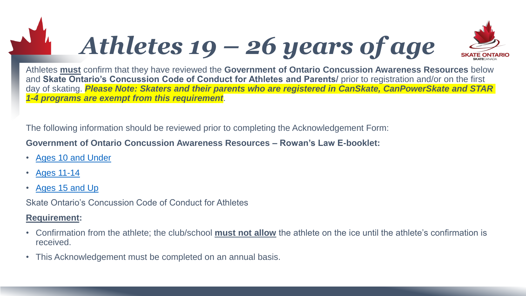# *Athletes 19 – 26 years of age*



Athletes **must** confirm that they have reviewed the **Government of Ontario Concussion Awareness Resources** below and **Skate Ontario's Concussion Code of Conduct for Athletes and Parents/** prior to registration and/or on the first day of skating. *Please Note: Skaters and their parents who are registered in CanSkate, CanPowerSkate and STAR 1-4 programs are exempt from this requirement*.

The following information should be reviewed prior to completing the Acknowledgement Form:

**Government of Ontario Concussion Awareness Resources – Rowan's Law E-booklet:**

- [Ages 10 and Under](https://www.ontario.ca/page/ontario-government-concussion-awareness-resource-e-booklet-ages-10-and-under)
- [Ages 11-14](https://www.ontario.ca/page/ontario-government-concussion-awareness-resource-e-booklet-ages-11-14)
- [Ages 15 and Up](https://www.ontario.ca/page/ontario-government-concussion-awareness-resource-e-booklet-ages-15-and-up)

Skate Ontario's Concussion Code of Conduct for Athletes

#### **Requirement:**

- Confirmation from the athlete; the club/school **must not allow** the athlete on the ice until the athlete's confirmation is received.
- This Acknowledgement must be completed on an annual basis.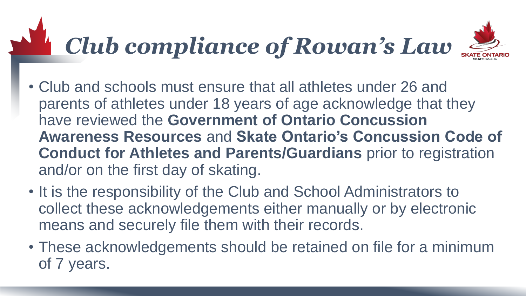# *Club compliance of Rowan's Law*



- Club and schools must ensure that all athletes under 26 and parents of athletes under 18 years of age acknowledge that they have reviewed the **Government of Ontario Concussion Awareness Resources** and **Skate Ontario's Concussion Code of Conduct for Athletes and Parents/Guardians** prior to registration and/or on the first day of skating.
- It is the responsibility of the Club and School Administrators to collect these acknowledgements either manually or by electronic means and securely file them with their records.
- These acknowledgements should be retained on file for a minimum of 7 years.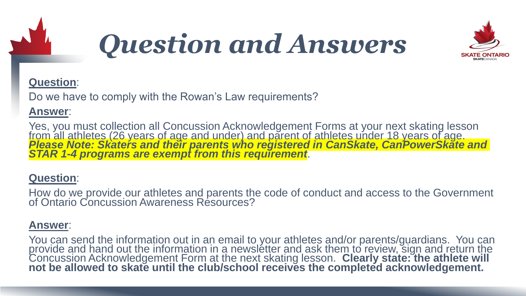

### *Question and Answers*



#### **Question**:

Do we have to comply with the Rowan's Law requirements?

#### **Answer**:

Yes, you must collection all Concussion Acknowledgement Forms at your next skating lesson from all athletes (26 years of age and under) and parent of athletes under 18 years of age. *Please Note: Skaters and their parents who registered in CanSkate, CanPowerSkate and STAR 1-4 programs are exempt from this requirement*.

#### **Question**:

How do we provide our athletes and parents the code of conduct and access to the Government of Ontario Concussion Awareness Resources?

#### **Answer**:

You can send the information out in an email to your athletes and/or parents/guardians. You can provide and hand out the information in a newsletter and ask them to review, sign and return the Concussion Acknowledgement Form at the next skating lesson. **Clearly state: the athlete will not be allowed to skate until the club/school receives the completed acknowledgement.**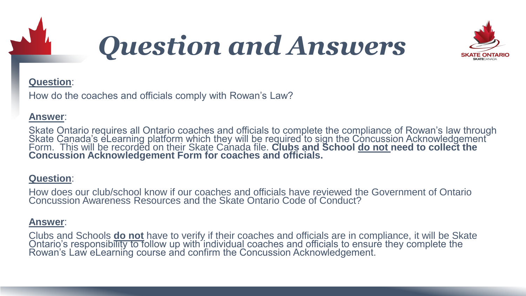

### *Question and Answers*



#### **Question**:

How do the coaches and officials comply with Rowan's Law?

#### **Answer**:

Skate Ontario requires all Ontario coaches and officials to complete the compliance of Rowan's law through Skate Canada's eLearning platform which they will be required to sign the Concussion Acknowledgement Form. This will be recorded on their Skate Canada file. **Clubs and School <u>do not need to collect</u> the Concussion Acknowledgement Form for coaches and officials.** 

#### **Question**:

How does our club/school know if our coaches and officials have reviewed the Government of Ontario Concussion Awareness Resources and the Skate Ontario Code of Conduct?

#### **Answer**:

Clubs and Schools **do not** have to verify if their coaches and officials are in compliance, it will be Skate Ontario's responsibility to follow up with individual coaches and officials to ensure they complete the Rowan's Law eLearning course and confirm the Concussion Acknowledgement.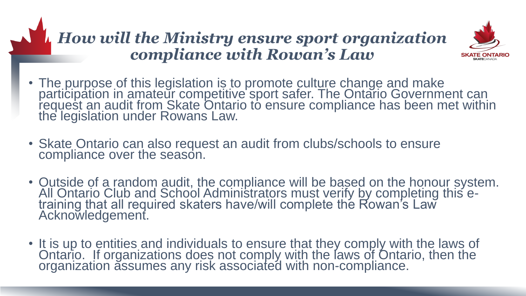### *How will the Ministry ensure sport organization compliance with Rowan's Law*



- The purpose of this legislation is to promote culture change and make participation in amateur competitive sport safer. The Ontario Government can request an audit from Skate Ontario to ensure compliance has been met within the legislation under Rowans Law.
- Skate Ontario can also request an audit from clubs/schools to ensure compliance over the season.
- Outside of a random audit, the compliance will be based on the honour system. All Ontario Club and School Administrators must verify by completing this etraining that all required skaters have/will complete the Rowan's Law Acknowledgement.
- It is up to entities and individuals to ensure that they comply with the laws of Ontario. If organizations does not comply with the laws of Ontario, then the organization assumes any risk associated with non-compliance.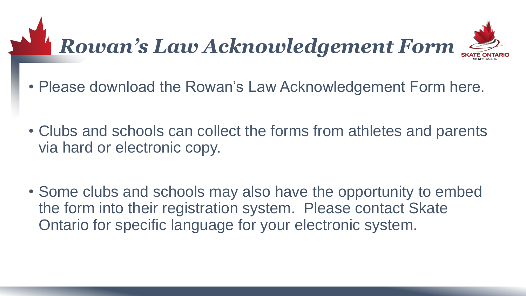# *Rowan's Law Acknowledgement Form*



- Please download the Rowan's Law Acknowledgement Form here.
- Clubs and schools can collect the forms from athletes and parents via hard or electronic copy.
- Some clubs and schools may also have the opportunity to embed the form into their registration system. Please contact Skate Ontario for specific language for your electronic system.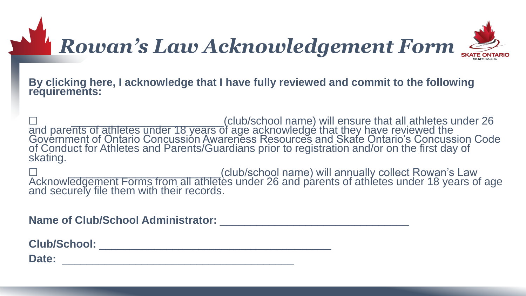## *Rowan's Law Acknowledgement Form*



**By clicking here, I acknowledge that I have fully reviewed and commit to the following requirements:** 

□ \_\_\_\_\_\_\_\_\_\_\_\_\_\_\_\_\_\_\_\_\_\_\_\_\_\_\_\_(club/school name) will ensure that all athletes under 26 and parents of athletes under 18 years of age acknowledge that they have reviewed the Government of Ontario Concussion Awareness Resources and Skate Ontario's Concussion Code of Conduct for Athletes and Parents/Guardians prior to registration and/or on the first day of skating.

□ \_\_\_\_\_\_\_\_\_\_\_\_\_\_\_\_\_\_\_\_\_\_\_\_\_(club/school name) will annually collect Rowan's Law Acknowledgement Forms from all athletes under 26 and parents of athletes under 18 years of age and securely file them with their records.

**Name of Club/School Administrator:** \_\_\_\_\_\_\_\_\_\_\_\_\_\_\_\_\_\_\_\_\_\_\_\_\_\_\_\_\_\_\_

**Club/School:** \_\_\_\_\_\_\_\_\_\_\_\_\_\_\_\_\_\_\_\_\_\_\_\_\_\_\_\_\_\_\_\_\_\_\_\_\_\_

**Date:** \_\_\_\_\_\_\_\_\_\_\_\_\_\_\_\_\_\_\_\_\_\_\_\_\_\_\_\_\_\_\_\_\_\_\_\_\_\_